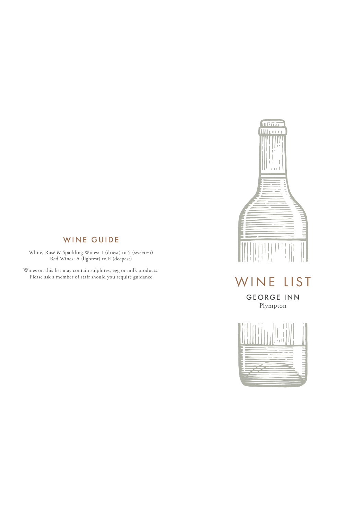## WINE GUIDE

White, Rosé & Sparkling Wines: 1 (driest) to 5 (sweetest) Red Wines: A (lightest) to E (deepest)

Wines on this list may contain sulphites, egg or milk products. Please ask a member of staff should you require guidance



# WINE LIST

GEORGE INN Plympton